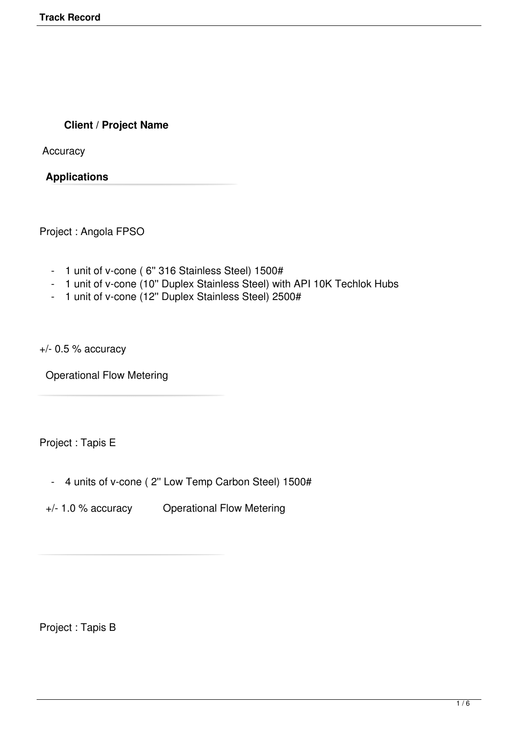## **Client / Project Name**

**Accuracy** 

**Applications** 

Project : Angola FPSO

- 1 unit of v-cone ( 6'' 316 Stainless Steel) 1500#
- 1 unit of v-cone (10'' Duplex Stainless Steel) with API 10K Techlok Hubs
- 1 unit of v-cone (12'' Duplex Stainless Steel) 2500#

+/- 0.5 % accuracy

Operational Flow Metering

Project : Tapis E

- 4 units of v-cone ( 2'' Low Temp Carbon Steel) 1500#
- +/- 1.0 % accuracy Operational Flow Metering

Project : Tapis B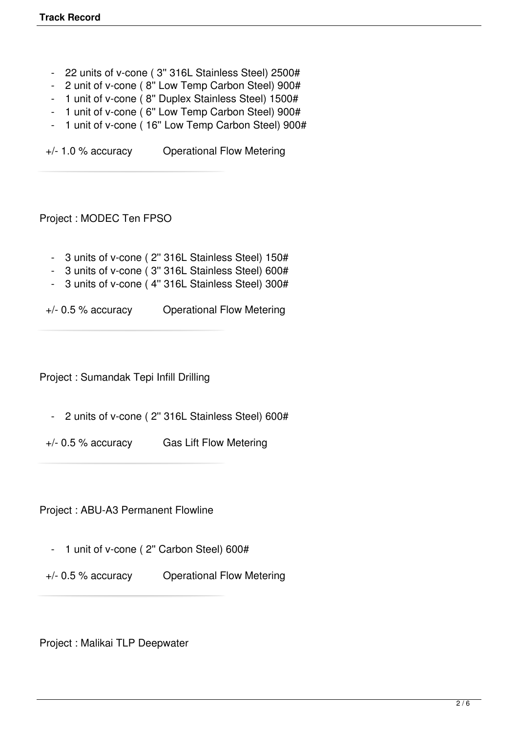- 22 units of v-cone ( 3'' 316L Stainless Steel) 2500#
- 2 unit of v-cone ( 8'' Low Temp Carbon Steel) 900#
- 1 unit of v-cone ( 8'' Duplex Stainless Steel) 1500#
- 1 unit of v-cone ( 6'' Low Temp Carbon Steel) 900#
- 1 unit of v-cone (16" Low Temp Carbon Steel) 900#

+/- 1.0 % accuracy Operational Flow Metering

Project : MODEC Ten FPSO

- 3 units of v-cone ( 2'' 316L Stainless Steel) 150#
- 3 units of v-cone ( 3'' 316L Stainless Steel) 600#
- 3 units of v-cone ( 4'' 316L Stainless Steel) 300#

+/- 0.5 % accuracy Operational Flow Metering

Project : Sumandak Tepi Infill Drilling

- 2 units of v-cone ( 2'' 316L Stainless Steel) 600#
- +/- 0.5 % accuracy Gas Lift Flow Metering

Project : ABU-A3 Permanent Flowline

- 1 unit of v-cone ( 2'' Carbon Steel) 600#
- +/- 0.5 % accuracy Operational Flow Metering

Project : Malikai TLP Deepwater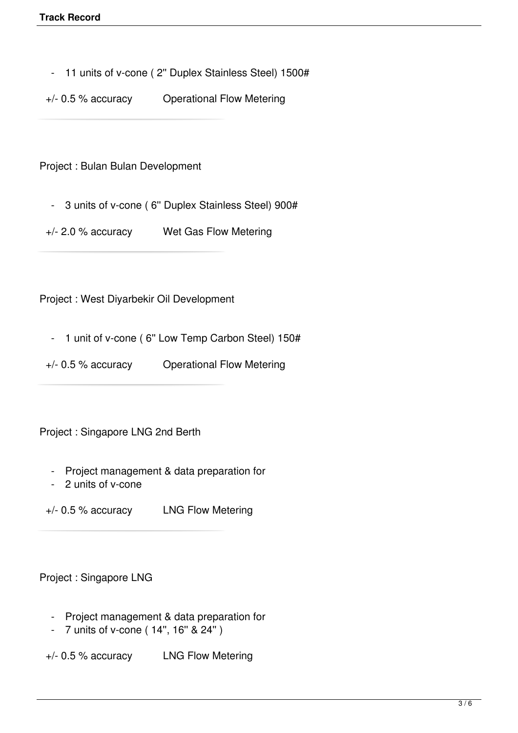- 11 units of v-cone ( 2'' Duplex Stainless Steel) 1500#

+/- 0.5 % accuracy Operational Flow Metering

Project : Bulan Bulan Development

- 3 units of v-cone ( 6'' Duplex Stainless Steel) 900#

+/- 2.0 % accuracy Wet Gas Flow Metering

Project : West Diyarbekir Oil Development

- 1 unit of v-cone (6" Low Temp Carbon Steel) 150#
- +/- 0.5 % accuracy Operational Flow Metering

Project : Singapore LNG 2nd Berth

- Project management & data preparation for
- 2 units of v-cone

+/- 0.5 % accuracy LNG Flow Metering

Project : Singapore LNG

- Project management & data preparation for
- 7 units of v-cone ( 14'', 16'' & 24'' )

+/- 0.5 % accuracy LNG Flow Metering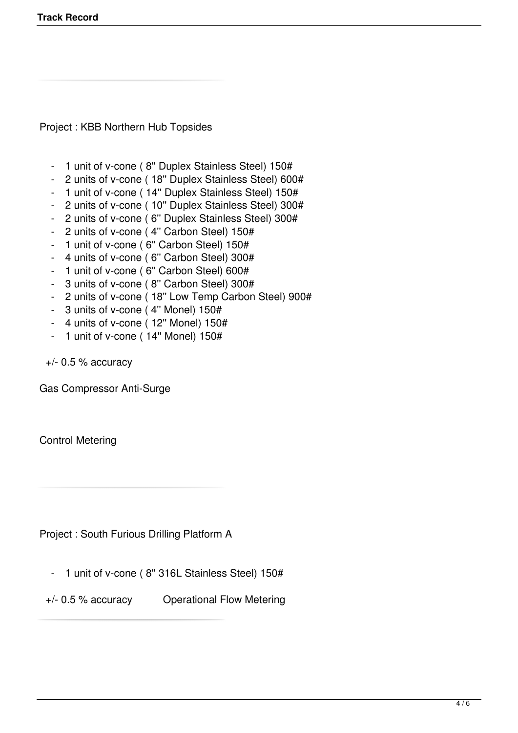Project : KBB Northern Hub Topsides

- 1 unit of v-cone ( 8'' Duplex Stainless Steel) 150#
- 2 units of v-cone ( 18'' Duplex Stainless Steel) 600#
- 1 unit of v-cone ( 14'' Duplex Stainless Steel) 150#
- 2 units of v-cone ( 10'' Duplex Stainless Steel) 300#
- 2 units of v-cone ( 6'' Duplex Stainless Steel) 300#
- 2 units of v-cone ( 4'' Carbon Steel) 150#
- 1 unit of v-cone ( 6'' Carbon Steel) 150#
- 4 units of v-cone ( 6'' Carbon Steel) 300#
- 1 unit of v-cone ( 6'' Carbon Steel) 600#
- 3 units of v-cone ( 8'' Carbon Steel) 300#
- 2 units of v-cone ( 18'' Low Temp Carbon Steel) 900#
- 3 units of v-cone ( 4'' Monel) 150#
- $-$  4 units of v-cone (12" Monel) 150#
- 1 unit of v-cone ( 14'' Monel) 150#

 $+/-$  0.5 % accuracy

Gas Compressor Anti-Surge

Control Metering

Project : South Furious Drilling Platform A

- 1 unit of v-cone ( 8'' 316L Stainless Steel) 150#

+/- 0.5 % accuracy Operational Flow Metering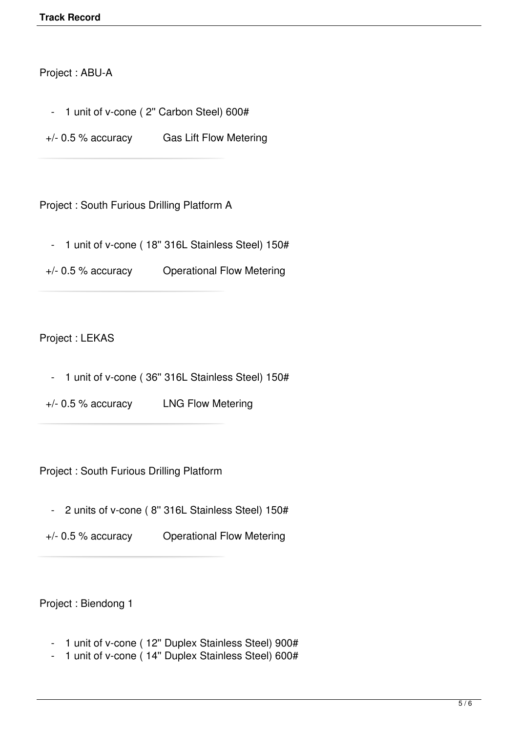## Project : ABU-A

- 1 unit of v-cone ( 2" Carbon Steel) 600#
- +/- 0.5 % accuracy Gas Lift Flow Metering

Project : South Furious Drilling Platform A

- 1 unit of v-cone ( 18'' 316L Stainless Steel) 150#
- +/- 0.5 % accuracy Operational Flow Metering

## Project : LEKAS

- 1 unit of v-cone ( 36'' 316L Stainless Steel) 150#
- +/- 0.5 % accuracy LNG Flow Metering

Project : South Furious Drilling Platform

- 2 units of v-cone ( 8'' 316L Stainless Steel) 150#
- +/- 0.5 % accuracy Operational Flow Metering

Project : Biendong 1

- 1 unit of v-cone (12" Duplex Stainless Steel) 900#
- 1 unit of v-cone ( 14'' Duplex Stainless Steel) 600#